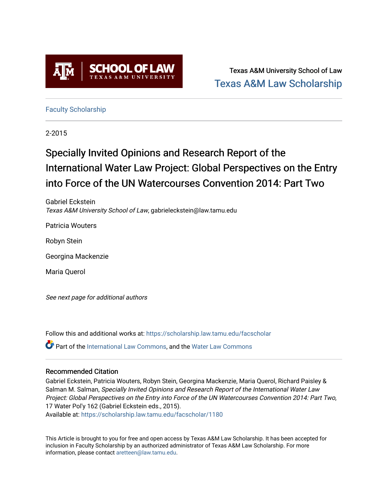

Texas A&M University School of Law [Texas A&M Law Scholarship](https://scholarship.law.tamu.edu/) 

## [Faculty Scholarship](https://scholarship.law.tamu.edu/facscholar)

2-2015

# Specially Invited Opinions and Research Report of the International Water Law Project: Global Perspectives on the Entry into Force of the UN Watercourses Convention 2014: Part Two

Gabriel Eckstein Texas A&M University School of Law, gabrieleckstein@law.tamu.edu

Patricia Wouters

Robyn Stein

Georgina Mackenzie

Maria Querol

See next page for additional authors

Follow this and additional works at: [https://scholarship.law.tamu.edu/facscholar](https://scholarship.law.tamu.edu/facscholar?utm_source=scholarship.law.tamu.edu%2Ffacscholar%2F1180&utm_medium=PDF&utm_campaign=PDFCoverPages) 

 $\bullet$  Part of the [International Law Commons,](http://network.bepress.com/hgg/discipline/609?utm_source=scholarship.law.tamu.edu%2Ffacscholar%2F1180&utm_medium=PDF&utm_campaign=PDFCoverPages) and the [Water Law Commons](http://network.bepress.com/hgg/discipline/887?utm_source=scholarship.law.tamu.edu%2Ffacscholar%2F1180&utm_medium=PDF&utm_campaign=PDFCoverPages)

## Recommended Citation

Gabriel Eckstein, Patricia Wouters, Robyn Stein, Georgina Mackenzie, Maria Querol, Richard Paisley & Salman M. Salman, Specially Invited Opinions and Research Report of the International Water Law Project: Global Perspectives on the Entry into Force of the UN Watercourses Convention 2014: Part Two, 17 Water Pol'y 162 (Gabriel Eckstein eds., 2015).

Available at: [https://scholarship.law.tamu.edu/facscholar/1180](https://scholarship.law.tamu.edu/facscholar/1180?utm_source=scholarship.law.tamu.edu%2Ffacscholar%2F1180&utm_medium=PDF&utm_campaign=PDFCoverPages) 

This Article is brought to you for free and open access by Texas A&M Law Scholarship. It has been accepted for inclusion in Faculty Scholarship by an authorized administrator of Texas A&M Law Scholarship. For more information, please contact [aretteen@law.tamu.edu](mailto:aretteen@law.tamu.edu).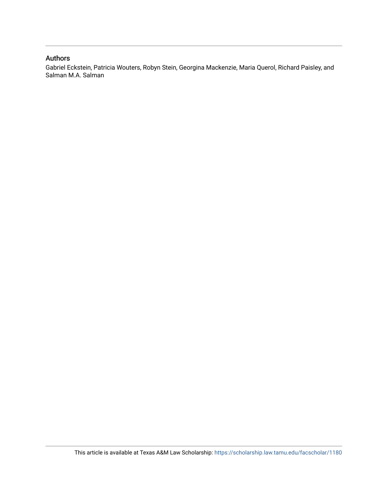## Authors

Gabriel Eckstein, Patricia Wouters, Robyn Stein, Georgina Mackenzie, Maria Querol, Richard Paisley, and Salman M.A. Salman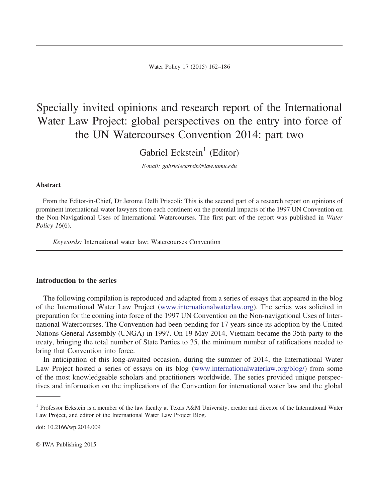## Specially invited opinions and research report of the International Water Law Project: global perspectives on the entry into force of the UN Watercourses Convention 2014: part two

Gabriel Eckstein<sup>1</sup> (Editor)

E-mail: [gabrieleckstein@law.tamu.edu](mailto:gabrieleckstein@law.tamu.edu)

#### Abstract

From the Editor-in-Chief, Dr Jerome Delli Priscoli: This is the second part of a research report on opinions of prominent international water lawyers from each continent on the potential impacts of the 1997 UN Convention on the Non-Navigational Uses of International Watercourses. The first part of the report was published in Water Policy 16(6).

Keywords: International water law; Watercourses Convention

#### Introduction to the series

The following compilation is reproduced and adapted from a series of essays that appeared in the blog of the International Water Law Project [\(www.internationalwaterlaw.org](http://www.internationalwaterlaw.org)). The series was solicited in preparation for the coming into force of the 1997 UN Convention on the Non-navigational Uses of International Watercourses. The Convention had been pending for 17 years since its adoption by the United Nations General Assembly (UNGA) in 1997. On 19 May 2014, Vietnam became the 35th party to the treaty, bringing the total number of State Parties to 35, the minimum number of ratifications needed to bring that Convention into force.

In anticipation of this long-awaited occasion, during the summer of 2014, the International Water Law Project hosted a series of essays on its blog [\(www.internationalwaterlaw.org/blog/\)](http://www.internationalwaterlaw.org/blog/) from some of the most knowledgeable scholars and practitioners worldwide. The series provided unique perspectives and information on the implications of the Convention for international water law and the global

doi: 10.2166/wp.2014.009

© IWA Publishing 2015

<sup>&</sup>lt;sup>1</sup> Professor Eckstein is a member of the law faculty at Texas A&M University, creator and director of the International Water Law Project, and editor of the International Water Law Project Blog.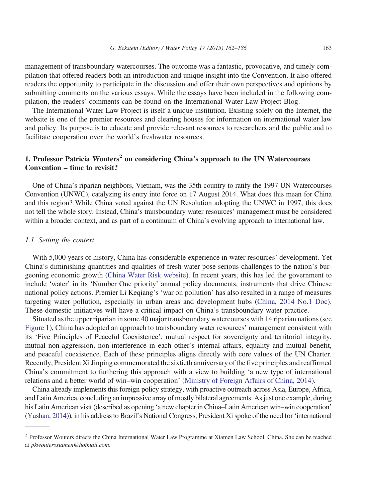management of transboundary watercourses. The outcome was a fantastic, provocative, and timely compilation that offered readers both an introduction and unique insight into the Convention. It also offered readers the opportunity to participate in the discussion and offer their own perspectives and opinions by submitting comments on the various essays. While the essays have been included in the following compilation, the readers' comments can be found on the International Water Law Project Blog.

The International Water Law Project is itself a unique institution. Existing solely on the Internet, the website is one of the premier resources and clearing houses for information on international water law and policy. Its purpose is to educate and provide relevant resources to researchers and the public and to facilitate cooperation over the world's freshwater resources.

## 1. Professor Patricia Wouters<sup>2</sup> on considering China's approach to the UN Watercourses Convention – time to revisit?

One of China's riparian neighbors, Vietnam, was the 35th country to ratify the 1997 UN Watercourses Convention (UNWC), catalyzing its entry into force on 17 August 2014. What does this mean for China and this region? While China voted against the UN Resolution adopting the UNWC in 1997, this does not tell the whole story. Instead, China's transboundary water resources' management must be considered within a broader context, and as part of a continuum of China's evolving approach to international law.

#### 1.1. Setting the context

With 5,000 years of history, China has considerable experience in water resources' development. Yet China's diminishing quantities and qualities of fresh water pose serious challenges to the nation's burgeoning economic growth [\(China Water Risk website](#page-24-0)). In recent years, this has led the government to include 'water' in its 'Number One priority' annual policy documents, instruments that drive Chinese national policy actions. Premier Li Keqiang's 'war on pollution' has also resulted in a range of measures targeting water pollution, especially in urban areas and development hubs ([China, 2014 No.1 Doc\)](#page-24-0). These domestic initiatives will have a critical impact on China's transboundary water practice.

Situated as the upper riparian in some 40 major transboundary watercourses with 14 riparian nations (see [Figure 1](#page-4-0)), China has adopted an approach to transboundary water resources' management consistent with its 'Five Principles of Peaceful Coexistence': mutual respect for sovereignty and territorial integrity, mutual non-aggression, non-interference in each other's internal affairs, equality and mutual benefit, and peaceful coexistence. Each of these principles aligns directly with core values of the UN Charter. Recently, President Xi Jinping commemorated the sixtieth anniversary of the five principles and reaffirmed China's commitment to furthering this approach with a view to building 'a new type of international relations and a better world of win–win cooperation' [\(Ministry of Foreign Affairs of China, 2014\)](#page-25-0).

China already implements this foreign policy strategy, with proactive outreach across Asia, Europe, Africa, and Latin America, concluding an impressive array of mostly bilateral agreements. As just one example, during his Latin American visit (described as opening 'a new chapter in China–Latin American win–win cooperation' [\(Yushan, 2014](#page-26-0))), in his address to Brazil's National Congress, President Xi spoke of the need for 'international

<sup>&</sup>lt;sup>2</sup> Professor Wouters directs the China International Water Law Programme at Xiamen Law School, China. She can be reached at pkwoutersxiamen@hotmail.com.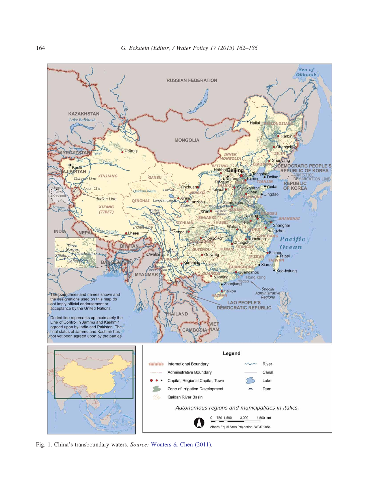<span id="page-4-0"></span>

Fig. 1. China's transboundary waters. Source: [Wouters & Chen \(2011\)](#page-26-0).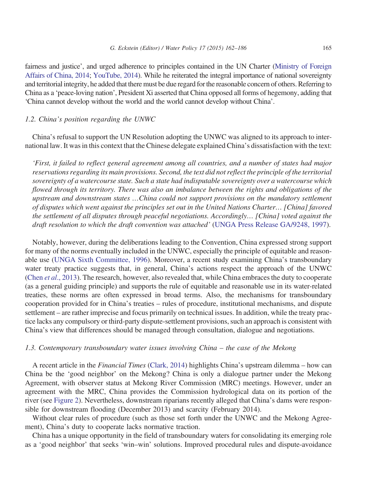fairness and justice', and urged adherence to principles contained in the UN Charter [\(Ministry of Foreign](#page-25-0) [Affairs of China, 2014](#page-25-0); [YouTube, 2014](#page-26-0)). While he reiterated the integral importance of national sovereignty and territorial integrity, he added that there must be due regard for the reasonable concern of others. Referring to China as a 'peace-loving nation', President Xi asserted that China opposed all forms of hegemony, adding that 'China cannot develop without the world and the world cannot develop without China'.

#### 1.2. China's position regarding the UNWC

China's refusal to support the UN Resolution adopting the UNWC was aligned to its approach to international law. It was in this context that the Chinese delegate explained China's dissatisfaction with the text:

'First, it failed to reflect general agreement among all countries, and a number of states had major reservations regarding its main provisions. Second, the text did not reflect the principle of the territorial sovereignty of a watercourse state. Such a state had indisputable sovereignty over a watercourse which flowed through its territory. There was also an imbalance between the rights and obligations of the upstream and downstream states …China could not support provisions on the mandatory settlement of disputes which went against the principles set out in the United Nations Charter… [China] favored the settlement of all disputes through peaceful negotiations. Accordingly… [China] voted against the draft resolution to which the draft convention was attached' ([UNGA Press Release GA/9248, 1997](#page-25-0)).

Notably, however, during the deliberations leading to the Convention, China expressed strong support for many of the norms eventually included in the UNWC, especially the principle of equitable and reasonable use [\(UNGA Sixth Committee, 1996](#page-26-0)). Moreover, a recent study examining China's transboundary water treaty practice suggests that, in general, China's actions respect the approach of the UNWC (Chen et al[., 2013\)](#page-24-0). The research, however, also revealed that, while China embraces the duty to cooperate (as a general guiding principle) and supports the rule of equitable and reasonable use in its water-related treaties, these norms are often expressed in broad terms. Also, the mechanisms for transboundary cooperation provided for in China's treaties – rules of procedure, institutional mechanisms, and dispute settlement – are rather imprecise and focus primarily on technical issues. In addition, while the treaty practice lacks any compulsory or third-party dispute-settlement provisions, such an approach is consistent with China's view that differences should be managed through consultation, dialogue and negotiations.

#### 1.3. Contemporary transboundary water issues involving China – the case of the Mekong

A recent article in the Financial Times [\(Clark, 2014\)](#page-24-0) highlights China's upstream dilemma – how can China be the 'good neighbor' on the Mekong? China is only a dialogue partner under the Mekong Agreement, with observer status at Mekong River Commission (MRC) meetings. However, under an agreement with the MRC, China provides the Commission hydrological data on its portion of the river (see [Figure 2](#page-6-0)). Nevertheless, downstream riparians recently alleged that China's dams were responsible for downstream flooding (December 2013) and scarcity (February 2014).

Without clear rules of procedure (such as those set forth under the UNWC and the Mekong Agreement), China's duty to cooperate lacks normative traction.

China has a unique opportunity in the field of transboundary waters for consolidating its emerging role as a 'good neighbor' that seeks 'win–win' solutions. Improved procedural rules and dispute-avoidance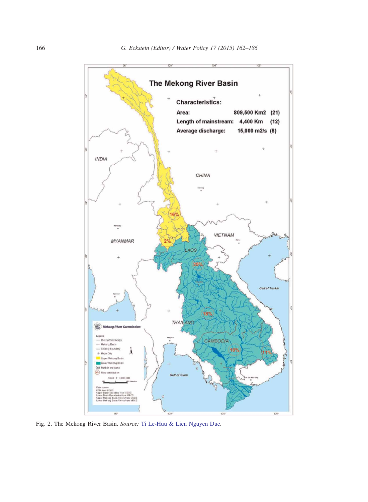<span id="page-6-0"></span>

Fig. 2. The Mekong River Basin. Source: [Ti Le-Huu & Lien Nguyen Duc.](#page-25-0)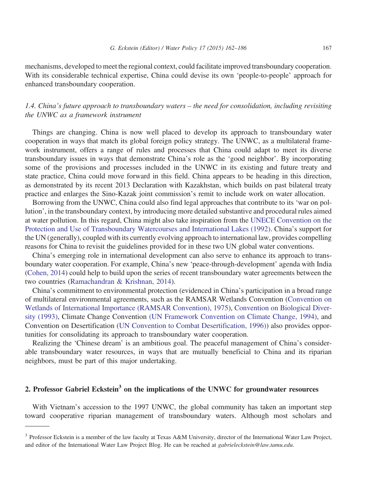mechanisms, developed to meet the regional context, could facilitate improved transboundary cooperation. With its considerable technical expertise, China could devise its own 'people-to-people' approach for enhanced transboundary cooperation.

### 1.4. China's future approach to transboundary waters – the need for consolidation, including revisiting the UNWC as a framework instrument

Things are changing. China is now well placed to develop its approach to transboundary water cooperation in ways that match its global foreign policy strategy. The UNWC, as a multilateral framework instrument, offers a range of rules and processes that China could adapt to meet its diverse transboundary issues in ways that demonstrate China's role as the 'good neighbor'. By incorporating some of the provisions and processes included in the UNWC in its existing and future treaty and state practice, China could move forward in this field. China appears to be heading in this direction, as demonstrated by its recent 2013 Declaration with Kazakhstan, which builds on past bilateral treaty practice and enlarges the Sino-Kazak joint commission's remit to include work on water allocation.

Borrowing from the UNWC, China could also find legal approaches that contribute to its 'war on pollution', in the transboundary context, by introducing more detailed substantive and procedural rules aimed at water pollution. In this regard, China might also take inspiration from the [UNECE Convention on the](#page-25-0) [Protection and Use of Transboundary Watercourses and International Lakes \(1992\)](#page-25-0). China's support for the UN (generally), coupled with its currently evolving approach to international law, provides compelling reasons for China to revisit the guidelines provided for in these two UN global water conventions.

China's emerging role in international development can also serve to enhance its approach to transboundary water cooperation. For example, China's new 'peace-through-development' agenda with India ([Cohen, 2014](#page-24-0)) could help to build upon the series of recent transboundary water agreements between the two countries [\(Ramachandran & Krishnan, 2014\)](#page-25-0).

China's commitment to environmental protection (evidenced in China's participation in a broad range of multilateral environmental agreements, such as the RAMSAR Wetlands Convention ([Convention on](#page-24-0) [Wetlands of International Importance \(RAMSAR Convention\), 1975\)](#page-24-0), [Convention on Biological Diver](#page-24-0)[sity \(1993\)](#page-24-0), Climate Change Convention [\(UN Framework Convention on Climate Change, 1994\),](#page-25-0) and Convention on Desertification [\(UN Convention to Combat Desertification, 1996\)](#page-25-0)) also provides opportunities for consolidating its approach to transboundary water cooperation.

Realizing the 'Chinese dream' is an ambitious goal. The peaceful management of China's considerable transboundary water resources, in ways that are mutually beneficial to China and its riparian neighbors, must be part of this major undertaking.

## 2. Professor Gabriel Eckstein<sup>3</sup> on the implications of the UNWC for groundwater resources

With Vietnam's accession to the 1997 UNWC, the global community has taken an important step toward cooperative riparian management of transboundary waters. Although most scholars and

<sup>&</sup>lt;sup>3</sup> Professor Eckstein is a member of the law faculty at Texas A&M University, director of the International Water Law Project, and editor of the International Water Law Project Blog. He can be reached at *gabrieleckstein@law.tamu.edu.*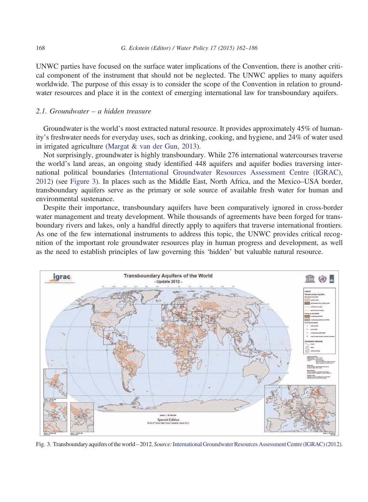UNWC parties have focused on the surface water implications of the Convention, there is another critical component of the instrument that should not be neglected. The UNWC applies to many aquifers worldwide. The purpose of this essay is to consider the scope of the Convention in relation to groundwater resources and place it in the context of emerging international law for transboundary aquifers.

#### 2.1. Groundwater – a hidden treasure

Groundwater is the world's most extracted natural resource. It provides approximately 45% of humanity's freshwater needs for everyday uses, such as drinking, cooking, and hygiene, and 24% of water used in irrigated agriculture ([Margat & van der Gun, 2013](#page-25-0)).

Not surprisingly, groundwater is highly transboundary. While 276 international watercourses traverse the world's land areas, an ongoing study identified 448 aquifers and aquifer bodies traversing international political boundaries [\(International Groundwater Resources Assessment Centre \(IGRAC\),](#page-24-0) [2012](#page-24-0)) (see Figure 3). In places such as the Middle East, North Africa, and the Mexico–USA border, transboundary aquifers serve as the primary or sole source of available fresh water for human and environmental sustenance.

Despite their importance, transboundary aquifers have been comparatively ignored in cross-border water management and treaty development. While thousands of agreements have been forged for transboundary rivers and lakes, only a handful directly apply to aquifers that traverse international frontiers. As one of the few international instruments to address this topic, the UNWC provides critical recognition of the important role groundwater resources play in human progress and development, as well as the need to establish principles of law governing this 'hidden' but valuable natural resource.



Fig. 3. Transboundary aquifers of the world – 2012. Source: International Groundwater Resources Assessment Centre (IGRAC) (2012).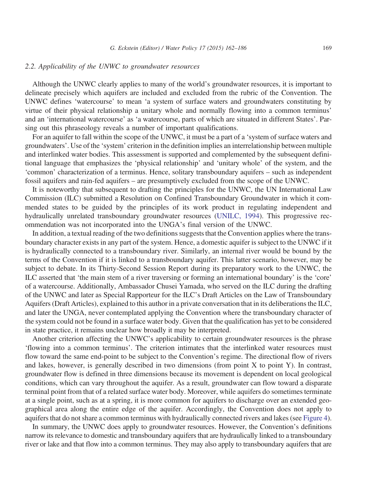#### 2.2. Applicability of the UNWC to groundwater resources

Although the UNWC clearly applies to many of the world's groundwater resources, it is important to delineate precisely which aquifers are included and excluded from the rubric of the Convention. The UNWC defines 'watercourse' to mean 'a system of surface waters and groundwaters constituting by virtue of their physical relationship a unitary whole and normally flowing into a common terminus' and an 'international watercourse' as 'a watercourse, parts of which are situated in different States'. Parsing out this phraseology reveals a number of important qualifications.

For an aquifer to fall within the scope of the UNWC, it must be a part of a 'system of surface waters and groundwaters'. Use of the 'system' criterion in the definition implies an interrelationship between multiple and interlinked water bodies. This assessment is supported and complemented by the subsequent definitional language that emphasizes the 'physical relationship' and 'unitary whole' of the system, and the 'common' characterization of a terminus. Hence, solitary transboundary aquifers – such as independent fossil aquifers and rain-fed aquifers – are presumptively excluded from the scope of the UNWC.

It is noteworthy that subsequent to drafting the principles for the UNWC, the UN International Law Commission (ILC) submitted a Resolution on Confined Transboundary Groundwater in which it commended states to be guided by the principles of its work product in regulating independent and hydraulically unrelated transboundary groundwater resources ([UNILC, 1994\)](#page-26-0). This progressive recommendation was not incorporated into the UNGA's final version of the UNWC.

In addition, a textual reading of the two definitions suggests that the Convention applies where the transboundary character exists in any part of the system. Hence, a domestic aquifer is subject to the UNWC if it is hydraulically connected to a transboundary river. Similarly, an internal river would be bound by the terms of the Convention if it is linked to a transboundary aquifer. This latter scenario, however, may be subject to debate. In its Thirty-Second Session Report during its preparatory work to the UNWC, the ILC asserted that 'the main stem of a river traversing or forming an international boundary' is the 'core' of a watercourse. Additionally, Ambassador Chusei Yamada, who served on the ILC during the drafting of the UNWC and later as Special Rapporteur for the ILC's Draft Articles on the Law of Transboundary Aquifers (Draft Articles), explained to this author in a private conversation that in its deliberations the ILC, and later the UNGA, never contemplated applying the Convention where the transboundary character of the system could not be found in a surface water body. Given that the qualification has yet to be considered in state practice, it remains unclear how broadly it may be interpreted.

Another criterion affecting the UNWC's applicability to certain groundwater resources is the phrase 'flowing into a common terminus'. The criterion intimates that the interlinked water resources must flow toward the same end-point to be subject to the Convention's regime. The directional flow of rivers and lakes, however, is generally described in two dimensions (from point X to point Y). In contrast, groundwater flow is defined in three dimensions because its movement is dependent on local geological conditions, which can vary throughout the aquifer. As a result, groundwater can flow toward a disparate terminal point from that of a related surface water body. Moreover, while aquifers do sometimes terminate at a single point, such as at a spring, it is more common for aquifers to discharge over an extended geographical area along the entire edge of the aquifer. Accordingly, the Convention does not apply to aquifers that do not share a common terminus with hydraulically connected rivers and lakes (see [Figure 4\)](#page-10-0).

In summary, the UNWC does apply to groundwater resources. However, the Convention's definitions narrow its relevance to domestic and transboundary aquifers that are hydraulically linked to a transboundary river or lake and that flow into a common terminus. They may also apply to transboundary aquifers that are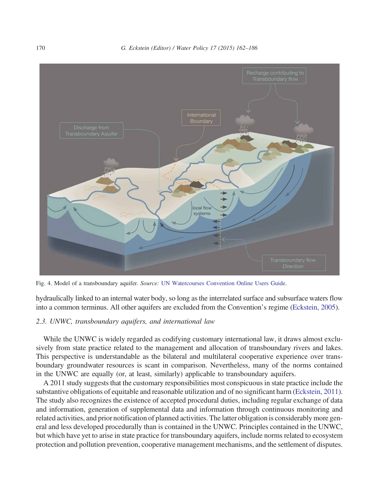<span id="page-10-0"></span>

Fig. 4. Model of a transboundary aquifer. Source: [UN Watercourses Convention Online Users Guide](#page-26-0).

hydraulically linked to an internal water body, so long as the interrelated surface and subsurface waters flow into a common terminus. All other aquifers are excluded from the Convention's regime [\(Eckstein, 2005\)](#page-24-0).

#### 2.3. UNWC, transboundary aquifers, and international law

While the UNWC is widely regarded as codifying customary international law, it draws almost exclusively from state practice related to the management and allocation of transboundary rivers and lakes. This perspective is understandable as the bilateral and multilateral cooperative experience over transboundary groundwater resources is scant in comparison. Nevertheless, many of the norms contained in the UNWC are equally (or, at least, similarly) applicable to transboundary aquifers.

A 2011 study suggests that the customary responsibilities most conspicuous in state practice include the substantive obligations of equitable and reasonable utilization and of no significant harm ([Eckstein, 2011\)](#page-24-0). The study also recognizes the existence of accepted procedural duties, including regular exchange of data and information, generation of supplemental data and information through continuous monitoring and related activities, and prior notification of planned activities. The latter obligation is considerably more general and less developed procedurally than is contained in the UNWC. Principles contained in the UNWC, but which have yet to arise in state practice for transboundary aquifers, include norms related to ecosystem protection and pollution prevention, cooperative management mechanisms, and the settlement of disputes.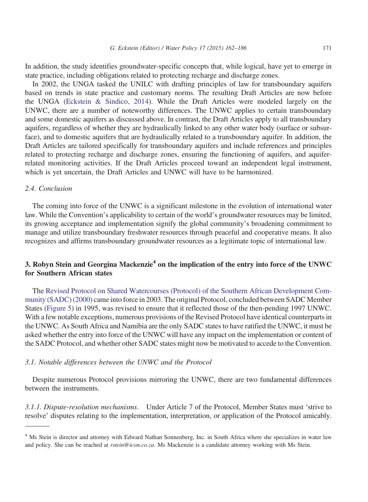In addition, the study identifies groundwater-specific concepts that, while logical, have yet to emerge in state practice, including obligations related to protecting recharge and discharge zones.

In 2002, the UNGA tasked the UNILC with drafting principles of law for transboundary aquifers based on trends in state practice and customary norms. The resulting Draft Articles are now before the UNGA ([Eckstein & Sindico, 2014](#page-24-0)). While the Draft Articles were modeled largely on the UNWC, there are a number of noteworthy differences. The UNWC applies to certain transboundary and some domestic aquifers as discussed above. In contrast, the Draft Articles apply to all transboundary aquifers, regardless of whether they are hydraulically linked to any other water body (surface or subsurface), and to domestic aquifers that are hydraulically related to a transboundary aquifer. In addition, the Draft Articles are tailored specifically for transboundary aquifers and include references and principles related to protecting recharge and discharge zones, ensuring the functioning of aquifers, and aquiferrelated monitoring activities. If the Draft Articles proceed toward an independent legal instrument, which is yet uncertain, the Draft Articles and UNWC will have to be harmonized.

#### 2.4. Conclusion

The coming into force of the UNWC is a significant milestone in the evolution of international water law. While the Convention's applicability to certain of the world's groundwater resources may be limited, its growing acceptance and implementation signify the global community's broadening commitment to manage and utilize transboundary freshwater resources through peaceful and cooperative means. It also recognizes and affirms transboundary groundwater resources as a legitimate topic of international law.

## 3. Robyn Stein and Georgina Mackenzie<sup>4</sup> on the implication of the entry into force of the UNWC for Southern African states

The [Revised Protocol on Shared Watercourses \(Protocol\) of the Southern African Development Com](#page-25-0)[munity \(SADC\) \(2000\)](#page-25-0) came into force in 2003. The original Protocol, concluded between SADC Member States [\(Figure 5\)](#page-12-0) in 1995, was revised to ensure that it reflected those of the then-pending 1997 UNWC. With a few notable exceptions, numerous provisions of the Revised Protocol have identical counterparts in the UNWC. As South Africa and Namibia are the only SADC states to have ratified the UNWC, it must be asked whether the entry into force of the UNWC will have any impact on the implementation or content of the SADC Protocol, and whether other SADC states might now be motivated to accede to the Convention.

#### 3.1. Notable differences between the UNWC and the Protocol

Despite numerous Protocol provisions mirroring the UNWC, there are two fundamental differences between the instruments.

3.1.1. Dispute-resolution mechanisms. Under Article 7 of the Protocol, Member States must 'strive to resolve' disputes relating to the implementation, interpretation, or application of the Protocol amicably.

<sup>&</sup>lt;sup>4</sup> Ms Stein is director and attorney with Edward Nathan Sonnenberg, Inc. in South Africa where she specializes in water law and policy. She can be reached at *rstein@icon.co.za*. Ms Mackenzie is a candidate attorney working with Ms Stein.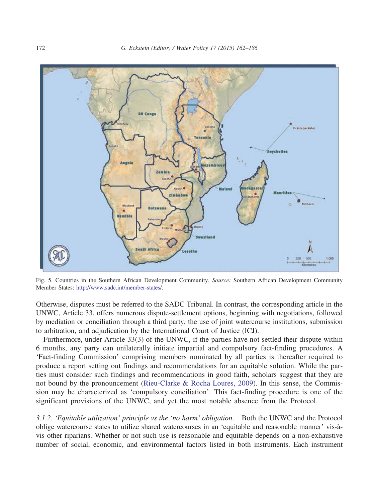<span id="page-12-0"></span>

Fig. 5. Countries in the Southern African Development Community. Source: Southern African Development Community Member States: <http://www.sadc.int/member-states/>.

Otherwise, disputes must be referred to the SADC Tribunal. In contrast, the corresponding article in the UNWC, Article 33, offers numerous dispute-settlement options, beginning with negotiations, followed by mediation or conciliation through a third party, the use of joint watercourse institutions, submission to arbitration, and adjudication by the International Court of Justice (ICJ).

Furthermore, under Article 33(3) of the UNWC, if the parties have not settled their dispute within 6 months, any party can unilaterally initiate impartial and compulsory fact-finding procedures. A 'Fact-finding Commission' comprising members nominated by all parties is thereafter required to produce a report setting out findings and recommendations for an equitable solution. While the parties must consider such findings and recommendations in good faith, scholars suggest that they are not bound by the pronouncement [\(Rieu-Clarke & Rocha Loures, 2009\)](#page-25-0). In this sense, the Commission may be characterized as 'compulsory conciliation'. This fact-finding procedure is one of the significant provisions of the UNWC, and yet the most notable absence from the Protocol.

3.1.2. 'Equitable utilization' principle vs the 'no harm' obligation. Both the UNWC and the Protocol oblige watercourse states to utilize shared watercourses in an 'equitable and reasonable manner' vis-àvis other riparians. Whether or not such use is reasonable and equitable depends on a non-exhaustive number of social, economic, and environmental factors listed in both instruments. Each instrument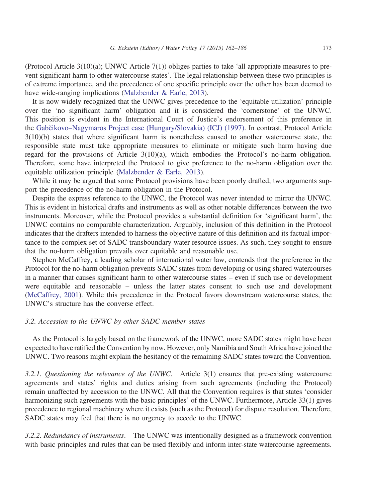(Protocol Article 3(10)(a); UNWC Article 7(1)) obliges parties to take 'all appropriate measures to prevent significant harm to other watercourse states'. The legal relationship between these two principles is of extreme importance, and the precedence of one specific principle over the other has been deemed to have wide-ranging implications [\(Malzbender & Earle, 2013](#page-25-0)).

It is now widely recognized that the UNWC gives precedence to the 'equitable utilization' principle over the 'no significant harm' obligation and it is considered the 'cornerstone' of the UNWC. This position is evident in the International Court of Justice's endorsement of this preference in the Gabčikovo–[Nagymaros Project case \(Hungary/Slovakia\) \(ICJ\) \(1997\).](#page-24-0) In contrast, Protocol Article 3(10)(b) states that where significant harm is nonetheless caused to another watercourse state, the responsible state must take appropriate measures to eliminate or mitigate such harm having due regard for the provisions of Article 3(10)(a), which embodies the Protocol's no-harm obligation. Therefore, some have interpreted the Protocol to give preference to the no-harm obligation over the equitable utilization principle ([Malzbender & Earle, 2013\)](#page-25-0).

While it may be argued that some Protocol provisions have been poorly drafted, two arguments support the precedence of the no-harm obligation in the Protocol.

Despite the express reference to the UNWC, the Protocol was never intended to mirror the UNWC. This is evident in historical drafts and instruments as well as other notable differences between the two instruments. Moreover, while the Protocol provides a substantial definition for 'significant harm', the UNWC contains no comparable characterization. Arguably, inclusion of this definition in the Protocol indicates that the drafters intended to harness the objective nature of this definition and its factual importance to the complex set of SADC transboundary water resource issues. As such, they sought to ensure that the no-harm obligation prevails over equitable and reasonable use.

Stephen McCaffrey, a leading scholar of international water law, contends that the preference in the Protocol for the no-harm obligation prevents SADC states from developing or using shared watercourses in a manner that causes significant harm to other watercourse states – even if such use or development were equitable and reasonable – unless the latter states consent to such use and development ([McCaffrey, 2001\)](#page-25-0). While this precedence in the Protocol favors downstream watercourse states, the UNWC's structure has the converse effect.

#### 3.2. Accession to the UNWC by other SADC member states

As the Protocol is largely based on the framework of the UNWC, more SADC states might have been expected to have ratified the Convention by now. However, only Namibia and South Africa have joined the UNWC. Two reasons might explain the hesitancy of the remaining SADC states toward the Convention.

3.2.1. Questioning the relevance of the UNWC. Article 3(1) ensures that pre-existing watercourse agreements and states' rights and duties arising from such agreements (including the Protocol) remain unaffected by accession to the UNWC. All that the Convention requires is that states 'consider harmonizing such agreements with the basic principles' of the UNWC. Furthermore, Article 33(1) gives precedence to regional machinery where it exists (such as the Protocol) for dispute resolution. Therefore, SADC states may feel that there is no urgency to accede to the UNWC.

3.2.2. Redundancy of instruments. The UNWC was intentionally designed as a framework convention with basic principles and rules that can be used flexibly and inform inter-state watercourse agreements.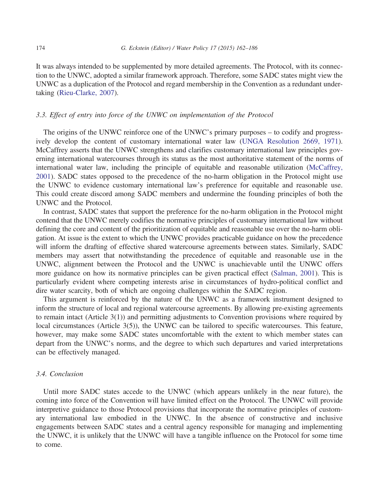It was always intended to be supplemented by more detailed agreements. The Protocol, with its connection to the UNWC, adopted a similar framework approach. Therefore, some SADC states might view the UNWC as a duplication of the Protocol and regard membership in the Convention as a redundant undertaking ([Rieu-Clarke, 2007](#page-25-0)).

#### 3.3. Effect of entry into force of the UNWC on implementation of the Protocol

The origins of the UNWC reinforce one of the UNWC's primary purposes – to codify and progressively develop the content of customary international water law [\(UNGA Resolution 2669, 1971\)](#page-25-0). McCaffrey asserts that the UNWC strengthens and clarifies customary international law principles governing international watercourses through its status as the most authoritative statement of the norms of international water law, including the principle of equitable and reasonable utilization [\(McCaffrey,](#page-25-0) [2001](#page-25-0)). SADC states opposed to the precedence of the no-harm obligation in the Protocol might use the UNWC to evidence customary international law's preference for equitable and reasonable use. This could create discord among SADC members and undermine the founding principles of both the UNWC and the Protocol.

In contrast, SADC states that support the preference for the no-harm obligation in the Protocol might contend that the UNWC merely codifies the normative principles of customary international law without defining the core and content of the prioritization of equitable and reasonable use over the no-harm obligation. At issue is the extent to which the UNWC provides practicable guidance on how the precedence will inform the drafting of effective shared watercourse agreements between states. Similarly, SADC members may assert that notwithstanding the precedence of equitable and reasonable use in the UNWC, alignment between the Protocol and the UNWC is unachievable until the UNWC offers more guidance on how its normative principles can be given practical effect ([Salman, 2001](#page-25-0)). This is particularly evident where competing interests arise in circumstances of hydro-political conflict and dire water scarcity, both of which are ongoing challenges within the SADC region.

This argument is reinforced by the nature of the UNWC as a framework instrument designed to inform the structure of local and regional watercourse agreements. By allowing pre-existing agreements to remain intact (Article 3(1)) and permitting adjustments to Convention provisions where required by local circumstances (Article 3(5)), the UNWC can be tailored to specific watercourses. This feature, however, may make some SADC states uncomfortable with the extent to which member states can depart from the UNWC's norms, and the degree to which such departures and varied interpretations can be effectively managed.

#### 3.4. Conclusion

Until more SADC states accede to the UNWC (which appears unlikely in the near future), the coming into force of the Convention will have limited effect on the Protocol. The UNWC will provide interpretive guidance to those Protocol provisions that incorporate the normative principles of customary international law embodied in the UNWC. In the absence of constructive and inclusive engagements between SADC states and a central agency responsible for managing and implementing the UNWC, it is unlikely that the UNWC will have a tangible influence on the Protocol for some time to come.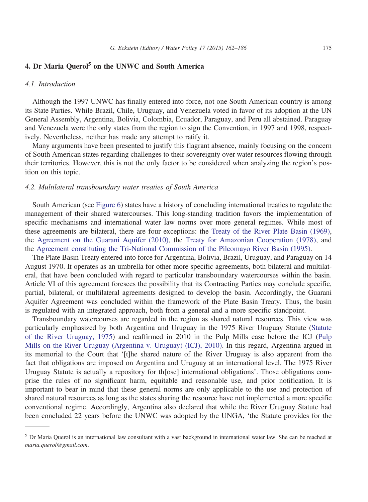## 4. Dr Maria Querol<sup>5</sup> on the UNWC and South America

#### 4.1. Introduction

Although the 1997 UNWC has finally entered into force, not one South American country is among its State Parties. While Brazil, Chile, Uruguay, and Venezuela voted in favor of its adoption at the UN General Assembly, Argentina, Bolivia, Colombia, Ecuador, Paraguay, and Peru all abstained. Paraguay and Venezuela were the only states from the region to sign the Convention, in 1997 and 1998, respectively. Nevertheless, neither has made any attempt to ratify it.

Many arguments have been presented to justify this flagrant absence, mainly focusing on the concern of South American states regarding challenges to their sovereignty over water resources flowing through their territories. However, this is not the only factor to be considered when analyzing the region's position on this topic.

#### 4.2. Multilateral transboundary water treaties of South America

South American (see [Figure 6\)](#page-16-0) states have a history of concluding international treaties to regulate the management of their shared watercourses. This long-standing tradition favors the implementation of specific mechanisms and international water law norms over more general regimes. While most of these agreements are bilateral, there are four exceptions: the [Treaty of the River Plate Basin \(1969\)](#page-25-0), the [Agreement on the Guarani Aquifer \(2010\)](#page-24-0), the [Treaty for Amazonian Cooperation \(1978\),](#page-25-0) and the [Agreement constituting the Tri-National Commission of the Pilcomayo River Basin \(1995\)](#page-24-0).

The Plate Basin Treaty entered into force for Argentina, Bolivia, Brazil, Uruguay, and Paraguay on 14 August 1970. It operates as an umbrella for other more specific agreements, both bilateral and multilateral, that have been concluded with regard to particular transboundary watercourses within the basin. Article VI of this agreement foresees the possibility that its Contracting Parties may conclude specific, partial, bilateral, or multilateral agreements designed to develop the basin. Accordingly, the Guarani Aquifer Agreement was concluded within the framework of the Plate Basin Treaty. Thus, the basin is regulated with an integrated approach, both from a general and a more specific standpoint.

Transboundary watercourses are regarded in the region as shared natural resources. This view was particularly emphasized by both Argentina and Uruguay in the 1975 River Uruguay Statute ([Statute](#page-25-0) [of the River Uruguay, 1975\)](#page-25-0) and reaffirmed in 2010 in the Pulp Mills case before the ICJ ([Pulp](#page-25-0) [Mills on the River Uruguay \(Argentina v. Uruguay\) \(ICJ\), 2010\)](#page-25-0). In this regard, Argentina argued in its memorial to the Court that '[t]he shared nature of the River Uruguay is also apparent from the fact that obligations are imposed on Argentina and Uruguay at an international level. The 1975 River Uruguay Statute is actually a repository for th[ose] international obligations'. Those obligations comprise the rules of no significant harm, equitable and reasonable use, and prior notification. It is important to bear in mind that these general norms are only applicable to the use and protection of shared natural resources as long as the states sharing the resource have not implemented a more specific conventional regime. Accordingly, Argentina also declared that while the River Uruguay Statute had been concluded 22 years before the UNWC was adopted by the UNGA, 'the Statute provides for the

<sup>&</sup>lt;sup>5</sup> Dr Maria Querol is an international law consultant with a vast background in international water law. She can be reached at maria.querol@gmail.com.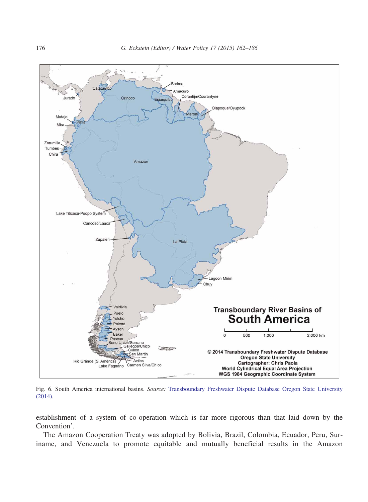<span id="page-16-0"></span>

Fig. 6. South America international basins. Source: [Transboundary Freshwater Dispute Database Oregon State University](#page-25-0) [\(2014\)](#page-25-0).

establishment of a system of co-operation which is far more rigorous than that laid down by the Convention'.

The Amazon Cooperation Treaty was adopted by Bolivia, Brazil, Colombia, Ecuador, Peru, Suriname, and Venezuela to promote equitable and mutually beneficial results in the Amazon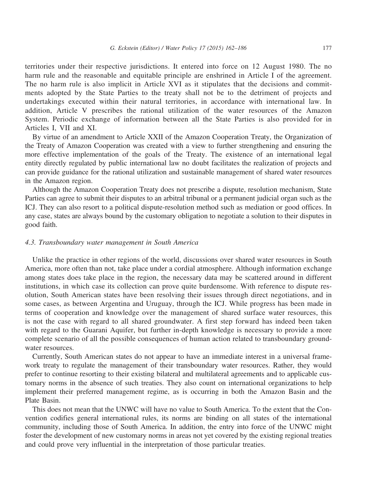territories under their respective jurisdictions. It entered into force on 12 August 1980. The no harm rule and the reasonable and equitable principle are enshrined in Article I of the agreement. The no harm rule is also implicit in Article XVI as it stipulates that the decisions and commitments adopted by the State Parties to the treaty shall not be to the detriment of projects and undertakings executed within their natural territories, in accordance with international law. In addition, Article V prescribes the rational utilization of the water resources of the Amazon System. Periodic exchange of information between all the State Parties is also provided for in Articles I, VII and XI.

By virtue of an amendment to Article XXII of the Amazon Cooperation Treaty, the Organization of the Treaty of Amazon Cooperation was created with a view to further strengthening and ensuring the more effective implementation of the goals of the Treaty. The existence of an international legal entity directly regulated by public international law no doubt facilitates the realization of projects and can provide guidance for the rational utilization and sustainable management of shared water resources in the Amazon region.

Although the Amazon Cooperation Treaty does not prescribe a dispute, resolution mechanism, State Parties can agree to submit their disputes to an arbitral tribunal or a permanent judicial organ such as the ICJ. They can also resort to a political dispute-resolution method such as mediation or good offices. In any case, states are always bound by the customary obligation to negotiate a solution to their disputes in good faith.

#### 4.3. Transboundary water management in South America

Unlike the practice in other regions of the world, discussions over shared water resources in South America, more often than not, take place under a cordial atmosphere. Although information exchange among states does take place in the region, the necessary data may be scattered around in different institutions, in which case its collection can prove quite burdensome. With reference to dispute resolution, South American states have been resolving their issues through direct negotiations, and in some cases, as between Argentina and Uruguay, through the ICJ. While progress has been made in terms of cooperation and knowledge over the management of shared surface water resources, this is not the case with regard to all shared groundwater. A first step forward has indeed been taken with regard to the Guarani Aquifer, but further in-depth knowledge is necessary to provide a more complete scenario of all the possible consequences of human action related to transboundary groundwater resources.

Currently, South American states do not appear to have an immediate interest in a universal framework treaty to regulate the management of their transboundary water resources. Rather, they would prefer to continue resorting to their existing bilateral and multilateral agreements and to applicable customary norms in the absence of such treaties. They also count on international organizations to help implement their preferred management regime, as is occurring in both the Amazon Basin and the Plate Basin.

This does not mean that the UNWC will have no value to South America. To the extent that the Convention codifies general international rules, its norms are binding on all states of the international community, including those of South America. In addition, the entry into force of the UNWC might foster the development of new customary norms in areas not yet covered by the existing regional treaties and could prove very influential in the interpretation of those particular treaties.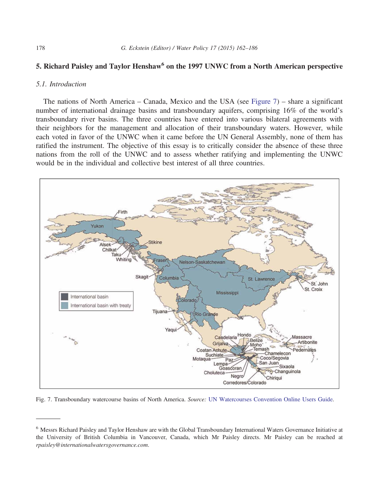## 5. Richard Paisley and Taylor Henshaw<sup>6</sup> on the 1997 UNWC from a North American perspective

#### 5.1. Introduction

The nations of North America – Canada, Mexico and the USA (see Figure 7) – share a significant number of international drainage basins and transboundary aquifers, comprising 16% of the world's transboundary river basins. The three countries have entered into various bilateral agreements with their neighbors for the management and allocation of their transboundary waters. However, while each voted in favor of the UNWC when it came before the UN General Assembly, none of them has ratified the instrument. The objective of this essay is to critically consider the absence of these three nations from the roll of the UNWC and to assess whether ratifying and implementing the UNWC would be in the individual and collective best interest of all three countries.



Fig. 7. Transboundary watercourse basins of North America. Source: [UN Watercourses Convention Online Users Guide](#page-26-0).

<sup>6</sup> Messrs Richard Paisley and Taylor Henshaw are with the Global Transboundary International Waters Governance Initiative at the University of British Columbia in Vancouver, Canada, which Mr Paisley directs. Mr Paisley can be reached at rpaisley@internationalwatersgovernance.com.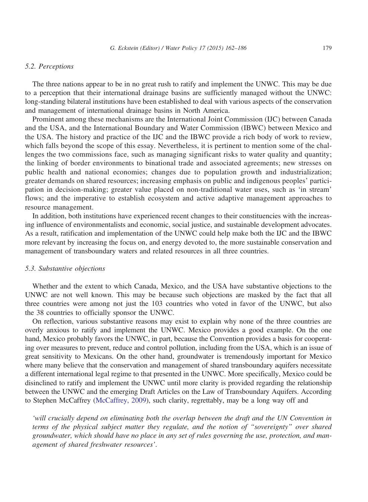#### 5.2. Perceptions

The three nations appear to be in no great rush to ratify and implement the UNWC. This may be due to a perception that their international drainage basins are sufficiently managed without the UNWC: long-standing bilateral institutions have been established to deal with various aspects of the conservation and management of international drainage basins in North America.

Prominent among these mechanisms are the International Joint Commission (IJC) between Canada and the USA, and the International Boundary and Water Commission (IBWC) between Mexico and the USA. The history and practice of the IJC and the IBWC provide a rich body of work to review, which falls beyond the scope of this essay. Nevertheless, it is pertinent to mention some of the challenges the two commissions face, such as managing significant risks to water quality and quantity; the linking of border environments to binational trade and associated agreements; new stresses on public health and national economies; changes due to population growth and industrialization; greater demands on shared resources; increasing emphasis on public and indigenous peoples' participation in decision-making; greater value placed on non-traditional water uses, such as 'in stream' flows; and the imperative to establish ecosystem and active adaptive management approaches to resource management.

In addition, both institutions have experienced recent changes to their constituencies with the increasing influence of environmentalists and economic, social justice, and sustainable development advocates. As a result, ratification and implementation of the UNWC could help make both the IJC and the IBWC more relevant by increasing the focus on, and energy devoted to, the more sustainable conservation and management of transboundary waters and related resources in all three countries.

#### 5.3. Substantive objections

Whether and the extent to which Canada, Mexico, and the USA have substantive objections to the UNWC are not well known. This may be because such objections are masked by the fact that all three countries were among not just the 103 countries who voted in favor of the UNWC, but also the 38 countries to officially sponsor the UNWC.

On reflection, various substantive reasons may exist to explain why none of the three countries are overly anxious to ratify and implement the UNWC. Mexico provides a good example. On the one hand, Mexico probably favors the UNWC, in part, because the Convention provides a basis for cooperating over measures to prevent, reduce and control pollution, including from the USA, which is an issue of great sensitivity to Mexicans. On the other hand, groundwater is tremendously important for Mexico where many believe that the conservation and management of shared transboundary aquifers necessitate a different international legal regime to that presented in the UNWC. More specifically, Mexico could be disinclined to ratify and implement the UNWC until more clarity is provided regarding the relationship between the UNWC and the emerging Draft Articles on the Law of Transboundary Aquifers. According to Stephen McCaffrey ([McCaffrey, 2009](#page-25-0)), such clarity, regrettably, may be a long way off and

'will crucially depend on eliminating both the overlap between the draft and the UN Convention in terms of the physical subject matter they regulate, and the notion of "sovereignty" over shared groundwater, which should have no place in any set of rules governing the use, protection, and management of shared freshwater resources'.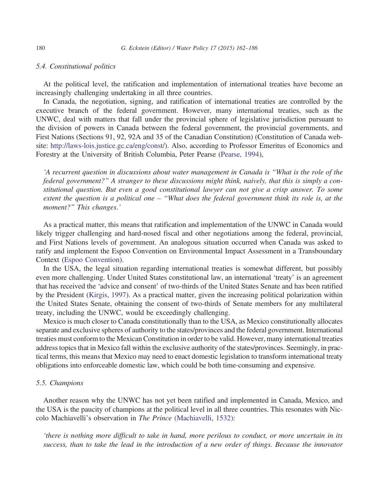#### 5.4. Constitutional politics

At the political level, the ratification and implementation of international treaties have become an increasingly challenging undertaking in all three countries.

In Canada, the negotiation, signing, and ratification of international treaties are controlled by the executive branch of the federal government. However, many international treaties, such as the UNWC, deal with matters that fall under the provincial sphere of legislative jurisdiction pursuant to the division of powers in Canada between the federal government, the provincial governments, and First Nations (Sections 91, 92, 92A and 35 of the Canadian Constitution) (Constitution of Canada website: [http://laws-lois.justice.gc.ca/eng/const/\)](http://laws-lois.justice.gc.ca/eng/const/). Also, according to Professor Emeritus of Economics and Forestry at the University of British Columbia, Peter Pearse ([Pearse, 1994](#page-25-0)),

'A recurrent question in discussions about water management in Canada is "What is the role of the federal government?" A stranger to these discussions might think, naively, that this is simply a constitutional question. But even a good constitutional lawyer can not give a crisp answer. To some extent the question is a political one – "What does the federal government think its role is, at the moment?" This changes.'

As a practical matter, this means that ratification and implementation of the UNWC in Canada would likely trigger challenging and hard-nosed fiscal and other negotiations among the federal, provincial, and First Nations levels of government. An analogous situation occurred when Canada was asked to ratify and implement the Espoo Convention on Environmental Impact Assessment in a Transboundary Context [\(Espoo Convention\)](#page-24-0).

In the USA, the legal situation regarding international treaties is somewhat different, but possibly even more challenging. Under United States constitutional law, an international 'treaty' is an agreement that has received the 'advice and consent' of two-thirds of the United States Senate and has been ratified by the President ([Kirgis, 1997\)](#page-24-0). As a practical matter, given the increasing political polarization within the United States Senate, obtaining the consent of two-thirds of Senate members for any multilateral treaty, including the UNWC, would be exceedingly challenging.

Mexico is much closer to Canada constitutionally than to the USA, as Mexico constitutionally allocates separate and exclusive spheres of authority to the states/provinces and the federal government. International treaties must conform to the Mexican Constitution in order to be valid. However, many international treaties address topics that in Mexico fall within the exclusive authority of the states/provinces. Seemingly, in practical terms, this means that Mexico may need to enact domestic legislation to transform international treaty obligations into enforceable domestic law, which could be both time-consuming and expensive.

#### 5.5. Champions

Another reason why the UNWC has not yet been ratified and implemented in Canada, Mexico, and the USA is the paucity of champions at the political level in all three countries. This resonates with Niccolo Machiavelli's observation in The Prince [\(Machiavelli, 1532\)](#page-24-0):

'there is nothing more difficult to take in hand, more perilous to conduct, or more uncertain in its success, than to take the lead in the introduction of a new order of things. Because the innovator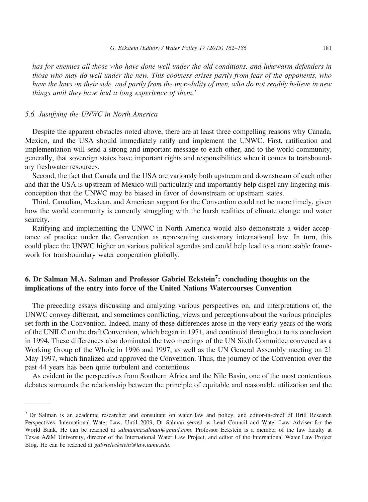has for enemies all those who have done well under the old conditions, and lukewarm defenders in those who may do well under the new. This coolness arises partly from fear of the opponents, who have the laws on their side, and partly from the incredulity of men, who do not readily believe in new things until they have had a long experience of them.'

#### 5.6. Justifying the UNWC in North America

Despite the apparent obstacles noted above, there are at least three compelling reasons why Canada, Mexico, and the USA should immediately ratify and implement the UNWC. First, ratification and implementation will send a strong and important message to each other, and to the world community, generally, that sovereign states have important rights and responsibilities when it comes to transboundary freshwater resources.

Second, the fact that Canada and the USA are variously both upstream and downstream of each other and that the USA is upstream of Mexico will particularly and importantly help dispel any lingering misconception that the UNWC may be biased in favor of downstream or upstream states.

Third, Canadian, Mexican, and American support for the Convention could not be more timely, given how the world community is currently struggling with the harsh realities of climate change and water scarcity.

Ratifying and implementing the UNWC in North America would also demonstrate a wider acceptance of practice under the Convention as representing customary international law. In turn, this could place the UNWC higher on various political agendas and could help lead to a more stable framework for transboundary water cooperation globally.

## 6. Dr Salman M.A. Salman and Professor Gabriel Eckstein<sup>7</sup>: concluding thoughts on the implications of the entry into force of the United Nations Watercourses Convention

The preceding essays discussing and analyzing various perspectives on, and interpretations of, the UNWC convey different, and sometimes conflicting, views and perceptions about the various principles set forth in the Convention. Indeed, many of these differences arose in the very early years of the work of the UNILC on the draft Convention, which began in 1971, and continued throughout to its conclusion in 1994. These differences also dominated the two meetings of the UN Sixth Committee convened as a Working Group of the Whole in 1996 and 1997, as well as the UN General Assembly meeting on 21 May 1997, which finalized and approved the Convention. Thus, the journey of the Convention over the past 44 years has been quite turbulent and contentious.

As evident in the perspectives from Southern Africa and the Nile Basin, one of the most contentious debates surrounds the relationship between the principle of equitable and reasonable utilization and the

 $<sup>7</sup>$  Dr Salman is an academic researcher and consultant on water law and policy, and editor-in-chief of Brill Research</sup> Perspectives, International Water Law. Until 2009, Dr Salman served as Lead Council and Water Law Adviser for the World Bank. He can be reached at salmanmasalman@gmail.com. Professor Eckstein is a member of the law faculty at Texas A&M University, director of the International Water Law Project, and editor of the International Water Law Project Blog. He can be reached at gabrieleckstein@law.tamu.edu.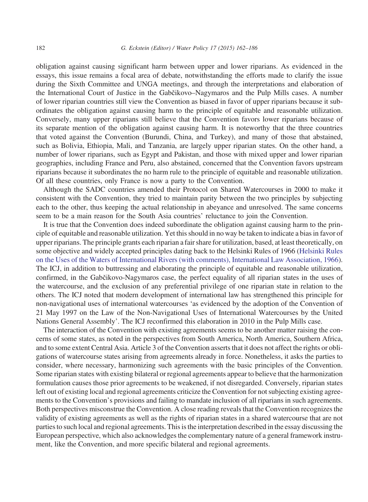obligation against causing significant harm between upper and lower riparians. As evidenced in the essays, this issue remains a focal area of debate, notwithstanding the efforts made to clarify the issue during the Sixth Committee and UNGA meetings, and through the interpretations and elaboration of the International Court of Justice in the Gabčikovo–Nagymaros and the Pulp Mills cases. A number of lower riparian countries still view the Convention as biased in favor of upper riparians because it subordinates the obligation against causing harm to the principle of equitable and reasonable utilization. Conversely, many upper riparians still believe that the Convention favors lower riparians because of its separate mention of the obligation against causing harm. It is noteworthy that the three countries that voted against the Convention (Burundi, China, and Turkey), and many of those that abstained, such as Bolivia, Ethiopia, Mali, and Tanzania, are largely upper riparian states. On the other hand, a number of lower riparians, such as Egypt and Pakistan, and those with mixed upper and lower riparian geographies, including France and Peru, also abstained, concerned that the Convention favors upstream riparians because it subordinates the no harm rule to the principle of equitable and reasonable utilization. Of all these countries, only France is now a party to the Convention.

Although the SADC countries amended their Protocol on Shared Watercourses in 2000 to make it consistent with the Convention, they tried to maintain parity between the two principles by subjecting each to the other, thus keeping the actual relationship in abeyance and unresolved. The same concerns seem to be a main reason for the South Asia countries' reluctance to join the Convention.

It is true that the Convention does indeed subordinate the obligation against causing harm to the principle of equitable and reasonable utilization. Yet this should in no way be taken to indicate a bias in favor of upper riparians. The principle grants each riparian a fair share for utilization, based, at least theoretically, on some objective and widely accepted principles dating back to the Helsinki Rules of 1966 ([Helsinki Rules](#page-24-0) [on the Uses of the Waters of International Rivers \(with comments\), International Law Association, 1966\)](#page-24-0). The ICJ, in addition to buttressing and elaborating the principle of equitable and reasonable utilization, confirmed, in the Gabčikovo-Nagymaros case, the perfect equality of all riparian states in the uses of the watercourse, and the exclusion of any preferential privilege of one riparian state in relation to the others. The ICJ noted that modern development of international law has strengthened this principle for non-navigational uses of international watercourses 'as evidenced by the adoption of the Convention of 21 May 1997 on the Law of the Non-Navigational Uses of International Watercourses by the United Nations General Assembly'. The ICJ reconfirmed this elaboration in 2010 in the Pulp Mills case.

The interaction of the Convention with existing agreements seems to be another matter raising the concerns of some states, as noted in the perspectives from South America, North America, Southern Africa, and to some extent Central Asia. Article 3 of the Convention asserts that it does not affect the rights or obligations of watercourse states arising from agreements already in force. Nonetheless, it asks the parties to consider, where necessary, harmonizing such agreements with the basic principles of the Convention. Some riparian states with existing bilateral or regional agreements appear to believe that the harmonization formulation causes those prior agreements to be weakened, if not disregarded. Conversely, riparian states left out of existing local and regional agreements criticize the Convention for not subjecting existing agreements to the Convention's provisions and failing to mandate inclusion of all riparians in such agreements. Both perspectives misconstrue the Convention. A close reading reveals that the Convention recognizes the validity of existing agreements as well as the rights of riparian states in a shared watercourse that are not parties to such local and regional agreements. This is the interpretation described in the essay discussing the European perspective, which also acknowledges the complementary nature of a general framework instrument, like the Convention, and more specific bilateral and regional agreements.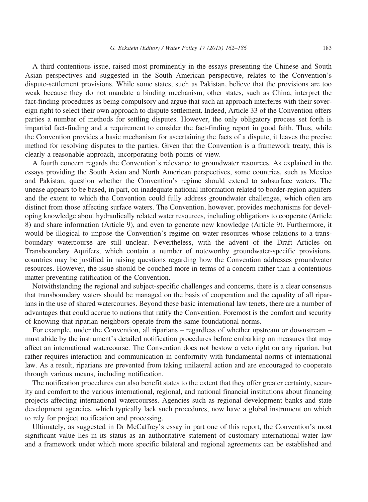A third contentious issue, raised most prominently in the essays presenting the Chinese and South Asian perspectives and suggested in the South American perspective, relates to the Convention's dispute-settlement provisions. While some states, such as Pakistan, believe that the provisions are too weak because they do not mandate a binding mechanism, other states, such as China, interpret the fact-finding procedures as being compulsory and argue that such an approach interferes with their sovereign right to select their own approach to dispute settlement. Indeed, Article 33 of the Convention offers parties a number of methods for settling disputes. However, the only obligatory process set forth is impartial fact-finding and a requirement to consider the fact-finding report in good faith. Thus, while the Convention provides a basic mechanism for ascertaining the facts of a dispute, it leaves the precise method for resolving disputes to the parties. Given that the Convention is a framework treaty, this is clearly a reasonable approach, incorporating both points of view.

A fourth concern regards the Convention's relevance to groundwater resources. As explained in the essays providing the South Asian and North American perspectives, some countries, such as Mexico and Pakistan, question whether the Convention's regime should extend to subsurface waters. The unease appears to be based, in part, on inadequate national information related to border-region aquifers and the extent to which the Convention could fully address groundwater challenges, which often are distinct from those affecting surface waters. The Convention, however, provides mechanisms for developing knowledge about hydraulically related water resources, including obligations to cooperate (Article 8) and share information (Article 9), and even to generate new knowledge (Article 9). Furthermore, it would be illogical to impose the Convention's regime on water resources whose relations to a transboundary watercourse are still unclear. Nevertheless, with the advent of the Draft Articles on Transboundary Aquifers, which contain a number of noteworthy groundwater-specific provisions, countries may be justified in raising questions regarding how the Convention addresses groundwater resources. However, the issue should be couched more in terms of a concern rather than a contentious matter preventing ratification of the Convention.

Notwithstanding the regional and subject-specific challenges and concerns, there is a clear consensus that transboundary waters should be managed on the basis of cooperation and the equality of all riparians in the use of shared watercourses. Beyond these basic international law tenets, there are a number of advantages that could accrue to nations that ratify the Convention. Foremost is the comfort and security of knowing that riparian neighbors operate from the same foundational norms.

For example, under the Convention, all riparians – regardless of whether upstream or downstream – must abide by the instrument's detailed notification procedures before embarking on measures that may affect an international watercourse. The Convention does not bestow a veto right on any riparian, but rather requires interaction and communication in conformity with fundamental norms of international law. As a result, riparians are prevented from taking unilateral action and are encouraged to cooperate through various means, including notification.

The notification procedures can also benefit states to the extent that they offer greater certainty, security and comfort to the various international, regional, and national financial institutions about financing projects affecting international watercourses. Agencies such as regional development banks and state development agencies, which typically lack such procedures, now have a global instrument on which to rely for project notification and processing.

Ultimately, as suggested in Dr McCaffrey's essay in part one of this report, the Convention's most significant value lies in its status as an authoritative statement of customary international water law and a framework under which more specific bilateral and regional agreements can be established and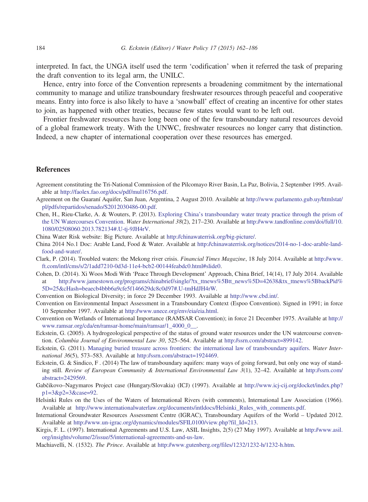<span id="page-24-0"></span>interpreted. In fact, the UNGA itself used the term 'codification' when it referred the task of preparing the draft convention to its legal arm, the UNILC.

Hence, entry into force of the Convention represents a broadening commitment by the international community to manage and utilize transboundary freshwater resources through peaceful and cooperative means. Entry into force is also likely to have a 'snowball' effect of creating an incentive for other states to join, as happened with other treaties, because few states would want to be left out.

Frontier freshwater resources have long been one of the few transboundary natural resources devoid of a global framework treaty. With the UNWC, freshwater resources no longer carry that distinction. Indeed, a new chapter of international cooperation over these resources has emerged.

#### **References**

Agreement constituting the Tri-National Commission of the Pilcomayo River Basin, La Paz, Bolivia, 2 September 1995. Available at <http://faolex.fao.org/docs/pdf/mul16756.pdf>.

- Agreement on the Guaraní Aquifer, San Juan, Argentina, 2 August 2010. Available at [http://www.parlamento.gub.uy/htmlstat/](http://www.parlamento.gub.uy/htmlstat/pl/pdfs/repartidos/senado/S2012030486-00.pdf) [pl/pdfs/repartidos/senado/S2012030486-00.pdf](http://www.parlamento.gub.uy/htmlstat/pl/pdfs/repartidos/senado/S2012030486-00.pdf).
- Chen, H., Rieu-Clarke, A. & Wouters, P. (2013). Exploring China'[s transboundary water treaty practice through the prism of](http://dx.doi.org/10.1080/02508060.2013.782134) [the UN Watercourses Convention](http://dx.doi.org/10.1080/02508060.2013.782134). Water International 38(2), 217-230. Available at [http://www.tandfonline.com/doi/full/10.](http://www.tandfonline.com/doi/full/10.1080/02508060.2013.782134#.U-tj-9JH4rV) [1080/02508060.2013.782134#.U-tj-9JH4rV](http://www.tandfonline.com/doi/full/10.1080/02508060.2013.782134#.U-tj-9JH4rV).
- China Water Risk website: Big Picture. Available at [http://chinawaterrisk.org/big-picture/.](http://chinawaterrisk.org/big-picture/)
- China 2014 No.1 Doc: Arable Land, Food & Water. Available at [http://chinawaterrisk.org/notices/2014-no-1-doc-arable-land](http://chinawaterrisk.org/notices/2014-no-1-doc-arable-land-food-and-water/)[food-and-water/](http://chinawaterrisk.org/notices/2014-no-1-doc-arable-land-food-and-water/).
- Clark, P. (2014). Troubled waters: the Mekong river crisis. Financial Times Magazine, 18 July 2014. Available at [http://www.](http://www.ft.com/intl/cms/s/2/1add7210-0d3d-11e4-bcb2-00144feabdc0.html#slide0) [ft.com/intl/cms/s/2/1add7210-0d3d-11e4-bcb2-00144feabdc0.html#slide0](http://www.ft.com/intl/cms/s/2/1add7210-0d3d-11e4-bcb2-00144feabdc0.html#slide0).
- Cohen, D. (2014). Xi Woos Modi With 'Peace Through Development' Approach, China Brief, 14(14), 17 July 2014. Available at [http://www.jamestown.org/programs/chinabrief/single/?tx\\_ttnews%5Btt\\_news%5D=42638&tx\\_ttnews%5BbackPid%](http://www.jamestown.org/programs/chinabrief/single/?tx_ttnews%5Btt_news%5D=42638&tx_ttnews%5BbackPid%5D=25&cHash=beaecb4bbb6a9cfe5f146629dc8c0d97#.U-tmHdJH4rW) [5D=25&cHash=beaecb4bbb6a9cfe5f146629dc8c0d97#.U-tmHdJH4rW.](http://www.jamestown.org/programs/chinabrief/single/?tx_ttnews%5Btt_news%5D=42638&tx_ttnews%5BbackPid%5D=25&cHash=beaecb4bbb6a9cfe5f146629dc8c0d97#.U-tmHdJH4rW)
- Convention on Biological Diversity; in force 29 December 1993. Available at <http://www.cbd.int/>.
- Convention on Environmental Impact Assessment in a Transboundary Context (Espoo Convention). Signed in 1991; in force 10 September 1997. Available at <http://www.unece.org/env/eia/eia.html>.
- Convention on Wetlands of International Importance (RAMSAR Convention); in force 21 December 1975. Available at [http://](http://www.ramsar.org/cda/en/ramsar-home/main/ramsar/1_4000_0__) [www.ramsar.org/cda/en/ramsar-home/main/ramsar/1\\_4000\\_0\\_\\_.](http://www.ramsar.org/cda/en/ramsar-home/main/ramsar/1_4000_0__)
- Eckstein, G. (2005). A hydrogeological perspective of the status of ground water resources under the UN watercourse convention. Columbia Journal of Environmental Law 30, 525–564. Available at <http://ssrn.com/abstract=899142>.
- Eckstein, G. (2011). [Managing buried treasure across frontiers: the international law of transboundary aquifers](http://dx.doi.org/10.1080/02508060.2011.598642). Water International 36(5), 573–583. Available at <http://ssrn.com/abstract=1924469>.
- Eckstein, G. & Sindico, F . (2014) The law of transboundary aquifers: many ways of going forward, but only one way of standing still. Review of European Community & International Environmental Law 3(1), 32–42. Available at [http://ssrn.com/](http://ssrn.com/abstract=2429569) [abstract=2429569](http://ssrn.com/abstract=2429569).
- Gabčikovo–Nagymaros Project case (Hungary/Slovakia) (ICJ) (1997). Available at [http://www.icj-cij.org/docket/index.php?](http://www.icj-cij.org/docket/index.php?p1=3&p2=3&case=92) [p1=3&p2=3&case=92.](http://www.icj-cij.org/docket/index.php?p1=3&p2=3&case=92)
- Helsinki Rules on the Uses of the Waters of International Rivers (with comments), International Law Association (1966). Available at [http://www.internationalwaterlaw.org/documents/intldocs/Helsinki\\_Rules\\_with\\_comments.pdf](http://www.internationalwaterlaw.org/documents/intldocs/Helsinki_Rules_with_comments.pdf).
- International Groundwater Resources Assessment Centre (IGRAC), Transboundary Aquifers of the World Updated 2012. Available at [http://www.un-igrac.org/dynamics/modules/SFIL0100/view.php?fil\\_Id=213.](http://www.un-igrac.org/dynamics/modules/SFIL0100/view.php?fil_Id=213)
- Kirgis, F. L. (1997). International Agreements and U.S. Law, ASIL Insights, 2(5) (27 May 1997). Available at [http://www.asil.](http://www.asil.org/insights/volume/2/issue/5/international-agreements-and-us-law) [org/insights/volume/2/issue/5/international-agreements-and-us-law](http://www.asil.org/insights/volume/2/issue/5/international-agreements-and-us-law).
- Machiavelli, N. (1532). The Prince. Available at [http://www.gutenberg.org/files/1232/1232-h/1232-h.htm.](http://www.gutenberg.org/files/1232/1232-h/1232-h.htm)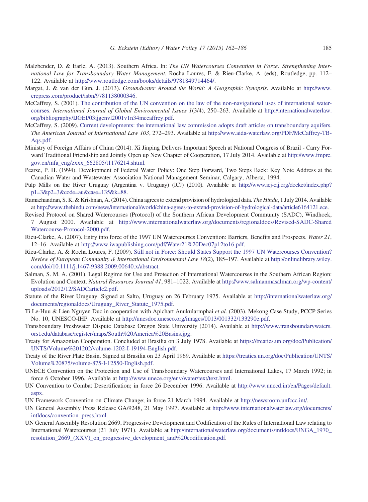- <span id="page-25-0"></span>Malzbender, D. & Earle, A. (2013). Southern Africa. In: The UN Watercourses Convention in Force: Strengthening International Law for Transboundary Water Management. Rocha Loures, F. & Rieu-Clarke, A. (eds), Routledge, pp. 112– 122. Available at <http://www.routledge.com/books/details/9781849714464/>.
- Margat, J. & van der Gun, J. (2013). Groundwater Around the World: A Geographic Synopsis. Available at [http://www.](http://www.crcpress.com/product/isbn/9781138000346) [crcpress.com/product/isbn/9781138000346](http://www.crcpress.com/product/isbn/9781138000346).
- McCaffrey, S. (2001). [The contribution of the UN convention on the law of the non-navigational uses of international water](http://dx.doi.org/10.1504/IJGENVI.2001.000980)[courses.](http://dx.doi.org/10.1504/IJGENVI.2001.000980) International Journal of Global Environmental Issues 1(3/4), 250–263. Available at [http://internationalwaterlaw.](http://internationalwaterlaw.org/bibliography/IJGEI/03ijgenvl2001v1n34mccaffrey.pdf) [org/bibliography/IJGEI/03ijgenvl2001v1n34mccaffrey.pdf.](http://internationalwaterlaw.org/bibliography/IJGEI/03ijgenvl2001v1n34mccaffrey.pdf)
- McCaffrey, S. (2009). [Current developments: the international law commission adopts draft articles on transboundary aquifers.](http://dx.doi.org/10.2307/20535150) The American Journal of International Law 103, 272–293. Available at [http://www.aida-waterlaw.org/PDF/McCaffrey-TB-](http://www.aida-waterlaw.org/PDF/McCaffrey-TB-Aqs.pdf)[Aqs.pdf.](http://www.aida-waterlaw.org/PDF/McCaffrey-TB-Aqs.pdf)
- Ministry of Foreign Affairs of China (2014). Xi Jinping Delivers Important Speech at National Congress of Brazil Carry Forward Traditional Friendship and Jointly Open up New Chapter of Cooperation, 17 July 2014. Available at [http://www.fmprc.](http://www.fmprc.gov.cn/mfa_eng/zxxx_662805/t1176214.shtml) [gov.cn/mfa\\_eng/zxxx\\_662805/t1176214.shtml](http://www.fmprc.gov.cn/mfa_eng/zxxx_662805/t1176214.shtml).
- Pearse, P. H. (1994). Development of Federal Water Policy: One Step Forward, Two Steps Back: Key Note Address at the Canadian Water and Wastewater Association National Management Seminar, Calgary, Alberta, 1994.
- Pulp Mills on the River Uruguay (Argentina v. Uruguay) (ICJ) (2010). Available at [http://www.icj-cij.org/docket/index.php?](http://www.icj-cij.org/docket/index.php?p1=3&p2=3&code=au&case=135&k=88) [p1=3&p2=3&code=au&case=135&k=88](http://www.icj-cij.org/docket/index.php?p1=3&p2=3&code=au&case=135&k=88).
- Ramachandran, S. K. & Krishnan, A. (2014). China agrees to extend provision of hydrological data. The Hindu, 1 July 2014. Available at [http://www.thehindu.com/news/international/world/china-agrees-to-extend-provision-of-hydrological-data/article6164121.ece.](http://www.thehindu.com/news/international/world/china-agrees-to-extend-provision-of-hydrological-data/article6164121.ece)
- Revised Protocol on Shared Watercourses (Protocol) of the Southern African Development Community (SADC), Windhoek, 7 August 2000. Available at [http://www.internationalwaterlaw.org/documents/regionaldocs/Revised-SADC-Shared](http://www.internationalwaterlaw.org/documents/regionaldocs/Revised-SADC-SharedWatercourse-Protocol-2000.pdf) [Watercourse-Protocol-2000.pdf](http://www.internationalwaterlaw.org/documents/regionaldocs/Revised-SADC-SharedWatercourse-Protocol-2000.pdf).
- Rieu-Clarke, A. (2007). Entry into force of the 1997 UN Watercourses Convention: Barriers, Benefits and Prospects. Water 21, 12–16. Available at [http://www.iwapublishing.com/pdf/Water21%20Dec07p12to16.pdf.](http://www.iwapublishing.com/pdf/Water21%20Dec07p12to16.pdf)
- Rieu-Clarke, A. & Rocha Loures, F. (2009). [Still not in Force: Should States Support the 1997 UN Watercourses Convention?](http://dx.doi.org/10.1111/j.1467-9388.2009.00640.x) Review of European Community & International Environmental Law 18(2), 185–197. Available at [http://onlinelibrary.wiley.](http://onlinelibrary.wiley.com/doi/10.1111/j.1467-9388.2009.00640.x/abstract) [com/doi/10.1111/j.1467-9388.2009.00640.x/abstract](http://onlinelibrary.wiley.com/doi/10.1111/j.1467-9388.2009.00640.x/abstract).
- Salman, S. M. A. (2001). Legal Regime for Use and Protection of International Watercourses in the Southern African Region: Evolution and Context. Natural Resources Journal 41, 981–1022. Available at [http://www.salmanmasalman.org/wp-content/](http://www.salmanmasalman.org/wp-content/uploads/2012/12/SADCarticle2.pdf) [uploads/2012/12/SADCarticle2.pdf.](http://www.salmanmasalman.org/wp-content/uploads/2012/12/SADCarticle2.pdf)
- Statute of the River Uruguay. Signed at Salto, Uruguay on 26 February 1975. Available at [http://internationalwaterlaw.org/](http://internationalwaterlaw.org/documents/regionaldocs/Uruguay_River_Statute_1975.pdf) [documents/regionaldocs/Uruguay\\_River\\_Statute\\_1975.pdf](http://internationalwaterlaw.org/documents/regionaldocs/Uruguay_River_Statute_1975.pdf).
- Ti Le-Huu & Lien Nguyen Duc in cooperation with Apichart Anukularmphai et al. (2003). Mekong Case Study, PCCP Series No. 10, UNESCO-IHP. Available at [http://unesdoc.unesco.org/images/0013/001332/133290e.pdf.](http://unesdoc.unesco.org/images/0013/001332/133290e.pdf)
- Transboundary Freshwater Dispute Database Oregon State University (2014). Available at [http://www.transboundarywaters.](http://www.transboundarywaters.orst.edu/database/register/maps/South%20America%20Basins.jpg) [orst.edu/database/register/maps/South%20America%20Basins.jpg](http://www.transboundarywaters.orst.edu/database/register/maps/South%20America%20Basins.jpg).
- Treaty for Amazonian Cooperation. Concluded at Brasilia on 3 July 1978. Available at [https://treaties.un.org/doc/Publication/](https://treaties.un.org/doc/Publication/UNTS/Volume%201202/volume-1202-I-19194-English.pdf) [UNTS/Volume%201202/volume-1202-I-19194-English.pdf](https://treaties.un.org/doc/Publication/UNTS/Volume%201202/volume-1202-I-19194-English.pdf).
- Treaty of the River Plate Basin. Signed at Brasilia on 23 April 1969. Available at [https://treaties.un.org/doc/Publication/UNTS/](https://treaties.un.org/doc/Publication/UNTS/Volume%20875/volume-875-I-12550-English.pdf) [Volume%20875/volume-875-I-12550-English.pdf.](https://treaties.un.org/doc/Publication/UNTS/Volume%20875/volume-875-I-12550-English.pdf)
- UNECE Convention on the Protection and Use of Transboundary Watercourses and International Lakes, 17 March 1992; in force 6 October 1996. Available at [http://www.unece.org/env/water/text/text.html.](http://www.unece.org/env/water/text/text.html)
- UN Convention to Combat Desertification; in force 26 December 1996. Available at [http://www.unccd.int/en/Pages/default.](http://www.unccd.int/en/Pages/default.aspx) [aspx](http://www.unccd.int/en/Pages/default.aspx).
- UN Framework Convention on Climate Change; in force 21 March 1994. Available at <http://newsroom.unfccc.int/>.
- UN General Assembly Press Release GA/9248, 21 May 1997. Available at [http://www.internationalwaterlaw.org/documents/](http://www.internationalwaterlaw.org/documents/intldocs/convention_press.html) [intldocs/convention\\_press.html](http://www.internationalwaterlaw.org/documents/intldocs/convention_press.html).
- UN General Assembly Resolution 2669, Progressive Development and Codification of the Rules of International Law relating to International Watercourses (21 July 1971). Available at [http://internationalwaterlaw.org/documents/intldocs/UNGA\\_1970\\_](http://internationalwaterlaw.org/documents/intldocs/UNGA_1970_resolution_2669_(XXV)_on_progressive_development_and%20codification.pdf) resolution 2669\_(XXV)\_on\_progressive\_development\_and%20codification.pdf.